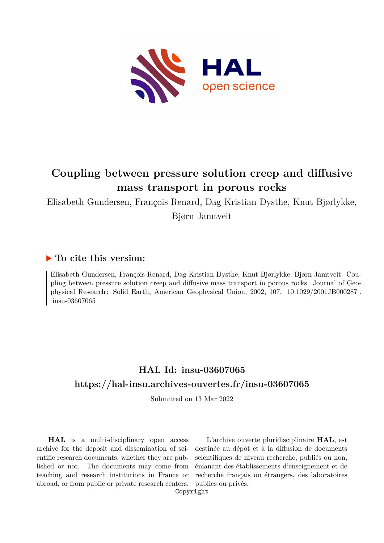

# **Coupling between pressure solution creep and diffusive mass transport in porous rocks**

Elisabeth Gundersen, François Renard, Dag Kristian Dysthe, Knut Bjørlykke, Bjørn Jamtveit

# **To cite this version:**

Elisabeth Gundersen, François Renard, Dag Kristian Dysthe, Knut Bjørlykke, Bjørn Jamtveit. Coupling between pressure solution creep and diffusive mass transport in porous rocks. Journal of Geophysical Research: Solid Earth, American Geophysical Union, 2002, 107, 10.1029/2001JB000287. insu-03607065

# **HAL Id: insu-03607065 <https://hal-insu.archives-ouvertes.fr/insu-03607065>**

Submitted on 13 Mar 2022

**HAL** is a multi-disciplinary open access archive for the deposit and dissemination of scientific research documents, whether they are published or not. The documents may come from teaching and research institutions in France or abroad, or from public or private research centers.

L'archive ouverte pluridisciplinaire **HAL**, est destinée au dépôt et à la diffusion de documents scientifiques de niveau recherche, publiés ou non, émanant des établissements d'enseignement et de recherche français ou étrangers, des laboratoires publics ou privés.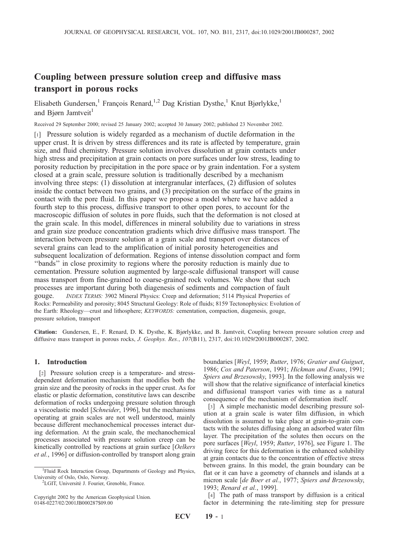# Coupling between pressure solution creep and diffusive mass transport in porous rocks

Elisabeth Gundersen,<sup>1</sup> François Renard,<sup>1,2</sup> Dag Kristian Dysthe,<sup>1</sup> Knut Bjørlykke,<sup>1</sup> and Bjørn Jamtveit<sup>1</sup>

Received 29 September 2000; revised 25 January 2002; accepted 30 January 2002; published 23 November 2002.

[1] Pressure solution is widely regarded as a mechanism of ductile deformation in the upper crust. It is driven by stress differences and its rate is affected by temperature, grain size, and fluid chemistry. Pressure solution involves dissolution at grain contacts under high stress and precipitation at grain contacts on pore surfaces under low stress, leading to porosity reduction by precipitation in the pore space or by grain indentation. For a system closed at a grain scale, pressure solution is traditionally described by a mechanism involving three steps: (1) dissolution at intergranular interfaces, (2) diffusion of solutes inside the contact between two grains, and (3) precipitation on the surface of the grains in contact with the pore fluid. In this paper we propose a model where we have added a fourth step to this process, diffusive transport to other open pores, to account for the macroscopic diffusion of solutes in pore fluids, such that the deformation is not closed at the grain scale. In this model, differences in mineral solubility due to variations in stress and grain size produce concentration gradients which drive diffusive mass transport. The interaction between pressure solution at a grain scale and transport over distances of several grains can lead to the amplification of initial porosity heterogeneities and subsequent localization of deformation. Regions of intense dissolution compact and form ''bands'' in close proximity to regions where the porosity reduction is mainly due to cementation. Pressure solution augmented by large-scale diffusional transport will cause mass transport from fine-grained to coarse-grained rock volumes. We show that such processes are important during both diagenesis of sediments and compaction of fault gouge. INDEX TERMS: 3902 Mineral Physics: Creep and deformation; 5114 Physical Properties of Rocks: Permeability and porosity; 8045 Structural Geology: Role of fluids; 8159 Tectonophysics: Evolution of the Earth: Rheology—crust and lithosphere; KEYWORDS: cementation, compaction, diagenesis, gouge, pressure solution, transport

Citation: Gundersen, E., F. Renard, D. K. Dysthe, K. Bjørlykke, and B. Jamtveit, Coupling between pressure solution creep and diffusive mass transport in porous rocks, J. Geophys. Res., 107(B11), 2317, doi:10.1029/2001JB000287, 2002.

## 1. Introduction

[2] Pressure solution creep is a temperature- and stressdependent deformation mechanism that modifies both the grain size and the porosity of rocks in the upper crust. As for elastic or plastic deformation, constitutive laws can describe deformation of rocks undergoing pressure solution through a viscoelastic model [Schneider, 1996], but the mechanisms operating at grain scales are not well understood, mainly because different mechanochemical processes interact during deformation. At the grain scale, the mechanochemical processes associated with pressure solution creep can be kinetically controlled by reactions at grain surface [Oelkers et al., 1996] or diffusion-controlled by transport along grain

<sup>2</sup>LGIT, Université J. Fourier, Grenoble, France.

boundaries [Weyl, 1959; Rutter, 1976; Gratier and Guiguet, 1986; Cox and Paterson, 1991; Hickman and Evans, 1991; Spiers and Brzesowsky, 1993]. In the following analysis we will show that the relative significance of interfacial kinetics and diffusional transport varies with time as a natural consequence of the mechanism of deformation itself.

[3] A simple mechanistic model describing pressure solution at a grain scale is water film diffusion, in which dissolution is assumed to take place at grain-to-grain contacts with the solutes diffusing along an adsorbed water film layer. The precipitation of the solutes then occurs on the pore surfaces [Weyl, 1959; Rutter, 1976], see Figure 1. The driving force for this deformation is the enhanced solubility at grain contacts due to the concentration of effective stress between grains. In this model, the grain boundary can be flat or it can have a geometry of channels and islands at a micron scale [de Boer et al., 1977; Spiers and Brzesowsky, 1993; Renard et al., 1999].

[4] The path of mass transport by diffusion is a critical factor in determining the rate-limiting step for pressure

<sup>&</sup>lt;sup>1</sup>Fluid Rock Interaction Group, Departments of Geology and Physics, University of Oslo, Oslo, Norway. <sup>2</sup>

Copyright 2002 by the American Geophysical Union. 0148-0227/02/2001JB000287\$09.00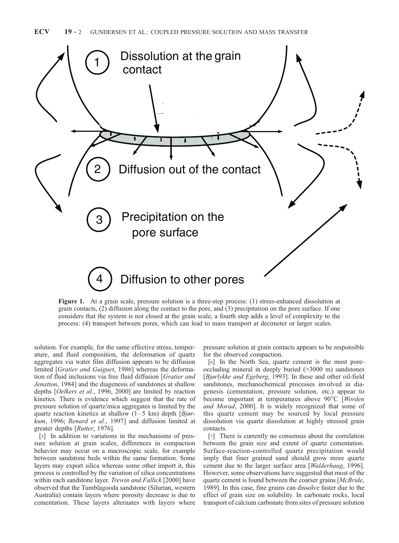

Figure 1. At a grain scale, pressure solution is a three-step process: (1) stress-enhanced dissolution at grain contacts, (2) diffusion along the contact to the pore, and (3) precipitation on the pore surface. If one considers that the system is not closed at the grain scale, a fourth step adds a level of complexity to the process: (4) transport between pores, which can lead to mass transport at decimeter or larger scales.

solution. For example, for the same effective stress, temperature, and fluid composition, the deformation of quartz aggregates via water film diffusion appears to be diffusion limited [Gratier and Guiguet, 1986] whereas the deformation of fluid inclusions via free fluid diffusion [Gratier and Jenatton, 1984] and the diagenesis of sandstones at shallow depths [Oelkers et al., 1996, 2000] are limited by reaction kinetics. There is evidence which suggest that the rate of pressure solution of quartz/mica aggregates is limited by the quartz reaction kinetics at shallow  $(1-5 \text{ km})$  depth  $\frac{B}{j}$ kum, 1996; Renard et al., 1997] and diffusion limited at greater depths [Rutter, 1976].

[5] In addition to variations in the mechanisms of pressure solution at grain scales, differences in compaction behavior may occur on a macroscopic scale, for example between sandstone beds within the same formation. Some layers may export silica whereas some other import it, this process is controlled by the variation of silica concentrations within each sandstone layer. Trewin and Fallick [2000] have observed that the Tumblagooda sandstone (Silurian, western Australia) contain layers where porosity decrease is due to cementation. These layers alternates with layers where

pressure solution at grain contacts appears to be responsible for the observed compaction.

[6] In the North Sea, quartz cement is the most poreoccluding mineral in deeply buried (>3000 m) sandstones [Bjørlykke and Egeberg, 1993]. In these and other oil-field sandstones, mechanochemical processes involved in diagenesis (cementation, pressure solution, etc.) appear to become important at temperatures above  $90^{\circ}$ C [Worden] and Morad, 2000]. It is widely recognized that some of this quartz cement may be sourced by local pressure dissolution via quartz dissolution at highly stressed grain contacts.

[7] There is currently no consensus about the correlation between the grain size and extent of quartz cementation. Surface-reaction-controlled quartz precipitation would imply that finer grained sand should grow more quartz cement due to the larger surface area [Walderhaug, 1996]. However, some observations have suggested that most of the quartz cement is found between the coarser grains [McBride, 1989]. In this case, fine grains can dissolve faster due to the effect of grain size on solubility. In carbonate rocks, local transport of calcium carbonate from sites of pressure solution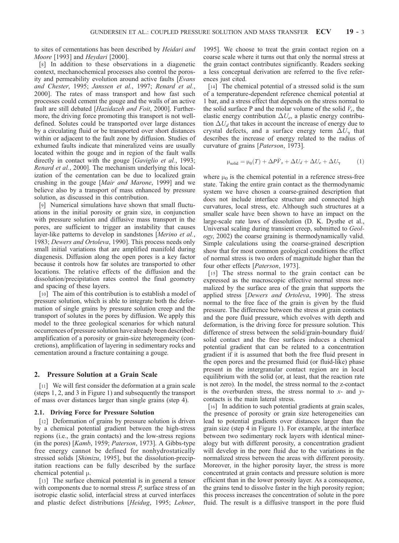to sites of cementations has been described by Heidari and Moore [1993] and Heydari [2000].

[8] In addition to these observations in a diagenetic context, mechanochemical processes also control the porosity and permeability evolution around active faults [Evans and Chester, 1995; Janssen et al., 1997; Renard et al., 2000]. The rates of mass transport and how fast such processes could cement the gouge and the walls of an active fault are still debated [Hazidazeh and Foit, 2000]. Furthermore, the driving force promoting this transport is not welldefined. Solutes could be transported over large distances by a circulating fluid or be transported over short distances within or adjacent to the fault zone by diffusion. Studies of exhumed faults indicate that mineralized veins are usually located within the gouge and in region of the fault walls directly in contact with the gouge [Gaviglio et al., 1993; Renard et al., 2000]. The mechanism underlying this localization of the cementation can be due to localized grain crushing in the gouge [Mair and Marone, 1999] and we believe also by a transport of mass enhanced by pressure solution, as discussed in this contribution.

[9] Numerical simulations have shown that small fluctuations in the initial porosity or grain size, in conjunction with pressure solution and diffusive mass transport in the pores, are sufficient to trigger an instability that causes layer-like patterns to develop in sandstones [Merino et al., 1983; Dewers and Ortoleva, 1990]. This process needs only small initial variations that are amplified manifold during diagenesis. Diffusion along the open pores is a key factor because it controls how far solutes are transported to other locations. The relative effects of the diffusion and the dissolution/precipitation rates control the final geometry and spacing of these layers.

[10] The aim of this contribution is to establish a model of pressure solution, which is able to integrate both the deformation of single grains by pressure solution creep and the transport of solutes in the pores by diffusion. We apply this model to the three geological scenarios for which natural occurrences of pressure solution have already been described: amplification of a porosity or grain-size heterogeneity (concretions), amplification of layering in sedimentary rocks and cementation around a fracture containing a gouge.

#### 2. Pressure Solution at a Grain Scale

[11] We will first consider the deformation at a grain scale (steps 1, 2, and 3 in Figure 1) and subsequently the transport of mass over distances larger than single grains (step 4).

#### 2.1. Driving Force for Pressure Solution

[12] Deformation of grains by pressure solution is driven by a chemical potential gradient between the high-stress regions (i.e., the grain contacts) and the low-stress regions (in the pores) [Kamb, 1959; Paterson, 1973]. A Gibbs-type free energy cannot be defined for nonhydrostatically stressed solids [Shimizu, 1995], but the dissolution-precipitation reactions can be fully described by the surface chemical potential  $\mu$ .

[13] The surface chemical potential is in general a tensor with components due to normal stress P, surface stress of an isotropic elastic solid, interfacial stress at curved interfaces and plastic defect distributions [Heidug, 1995; Lehner, 1995]. We choose to treat the grain contact region on a coarse scale where it turns out that only the normal stress at the grain contact contributes significantly. Readers seeking a less conceptual derivation are referred to the five references just cited.

[14] The chemical potential of a stressed solid is the sum of a temperature-dependent reference chemical potential at 1 bar, and a stress effect that depends on the stress normal to the solid surface P and the molar volume of the solid  $\bar{V}_s$ , the elastic energy contribution  $\Delta U_e$ , a plastic energy contribution  $\Delta U_d$  that takes in account the increase of energy due to crystal defects, and a surface energy term  $\Delta U_{\gamma}$  that describes the increase of energy related to the radius of curvature of grains [Paterson, 1973].

$$
\mu_{\text{solid}} = \mu_0(T) + \Delta P \bar{V}_s + \Delta U_d + \Delta U_e + \Delta U_\gamma \tag{1}
$$

where  $\mu_0$  is the chemical potential in a reference stress-free state. Taking the entire grain contact as the thermodynamic system we have chosen a coarse-grained description that does not include interface structure and connected high curvatures, local stress, etc. Although such structures at a smaller scale have been shown to have an impact on the large-scale rate laws of dissolution (D. K. Dysthe et al., Universal scaling during transient creep, submitted to Geology, 2002) the coarse graining is thermodynamically valid. Simple calculations using the coarse-grained description show that for most common geological conditions the effect of normal stress is two orders of magnitude higher than the four other effects [Paterson, 1973].

[15] The stress normal to the grain contact can be expressed as the macroscopic effective normal stress normalized by the surface area of the grain that supports the applied stress [Dewers and Ortoleva, 1990]. The stress normal to the free face of the grain is given by the fluid pressure. The difference between the stress at grain contacts and the pore fluid pressure, which evolves with depth and deformation, is the driving force for pressure solution. This difference of stress between the solid/grain-boundary fluid/ solid contact and the free surfaces induces a chemical potential gradient that can be related to a concentration gradient if it is assumed that both the free fluid present in the open pores and the presumed fluid (or fluid-like) phase present in the intergranular contact region are in local equilibrium with the solid (or, at least, that the reaction rate is not zero). In the model, the stress normal to the z-contact is the overburden stress, the stress normal to  $x$ - and  $y$ contacts is the main lateral stress.

[16] In addition to such potential gradients at grain scales, the presence of porosity or grain size heterogeneities can lead to potential gradients over distances larger than the grain size (step 4 in Figure 1). For example, at the interface between two sedimentary rock layers with identical mineralogy but with different porosity, a concentration gradient will develop in the pore fluid due to the variations in the normalized stress between the areas with different porosity. Moreover, in the higher porosity layer, the stress is more concentrated at grain contacts and pressure solution is more efficient than in the lower porosity layer. As a consequence, the grains tend to dissolve faster in the high porosity region; this process increases the concentration of solute in the pore fluid. The result is a diffusive transport in the pore fluid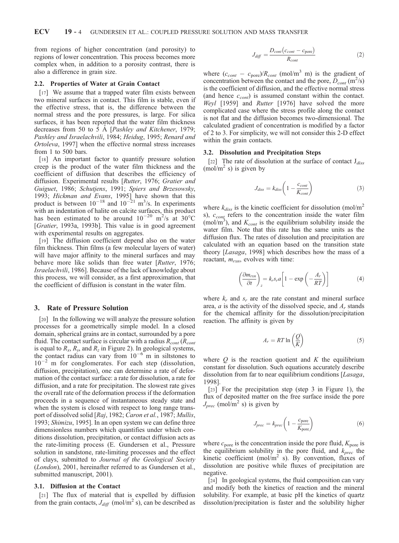from regions of higher concentration (and porosity) to regions of lower concentration. This process becomes more complex when, in addition to a porosity contrast, there is also a difference in grain size.

#### 2.2. Properties of Water at Grain Contact

[17] We assume that a trapped water film exists between two mineral surfaces in contact. This film is stable, even if the effective stress, that is, the difference between the normal stress and the pore pressures, is large. For silica surfaces, it has been reported that the water film thickness decreases from 50 to 5 Å [Pashley and Kitchener, 1979; Pashley and Israelachvili, 1984; Heidug, 1995; Renard and Ortoleva, 1997] when the effective normal stress increases from 1 to 500 bars.

[18] An important factor to quantify pressure solution creep is the product of the water film thickness and the coefficient of diffusion that describes the efficiency of diffusion. Experimental results [Rutter, 1976; Gratier and Guiguet, 1986; Schutjens, 1991; Spiers and Brzesowsky, 1993; Hickman and Evans, 1995] have shown that this product is between  $10^{-18}$  and  $10^{-21}$  m<sup>3</sup>/s. In experiments with an indentation of halite on calcite surfaces, this product has been estimated to be around  $10^{-20}$  m<sup>2</sup>/s at 30°C [Gratier, 1993a, 1993b]. This value is in good agreement with experimental results on aggregates.

[19] The diffusion coefficient depend also on the water film thickness. Thin films (a few molecular layers of water) will have major affinity to the mineral surfaces and may behave more like solids than free water [Rutter, 1976; Israelachvili, 1986]. Because of the lack of knowledge about this process, we will consider, as a first approximation, that the coefficient of diffusion is constant in the water film.

#### 3. Rate of Pressure Solution

[20] In the following we will analyze the pressure solution processes for a geometrically simple model. In a closed domain, spherical grains are in contact, surrounded by a pore fluid. The contact surface is circular with a radius  $R_{cont}$  ( $R_{cont}$ is equal to  $R_x$ ,  $R_y$ , and  $R_z$  in Figure 2). In geological systems, the contact radius can vary from  $10^{-6}$  m in siltstones to  $10^{-2}$  m for conglomerates. For each step (dissolution, diffusion, precipitation), one can determine a rate of deformation of the contact surface: a rate for dissolution, a rate for diffusion, and a rate for precipitation. The slowest rate gives the overall rate of the deformation process if the deformation proceeds in a sequence of instantaneous steady state and when the system is closed with respect to long range transport of dissolved solid [Raj, 1982; Caron et al., 1987; Mullis, 1993; Shimizu, 1995]. In an open system we can define three dimensionless numbers which quantifies under which conditions dissolution, precipitation, or contact diffusion acts as the rate-limiting process (E. Gundersen et al., Pressure solution in sandstone, rate-limiting processes and the effect of clays, submitted to Journal of the Geological Society (London), 2001, hereinafter referred to as Gundersen et al., submitted manuscript, 2001).

#### 3.1. Diffusion at the Contact

[21] The flux of material that is expelled by diffusion from the grain contacts,  $J_{diff}$  (mol/m<sup>2</sup> s), can be described as

$$
J_{diff} = \frac{D_{cont}(c_{cont} - c_{pore})}{R_{cont}}
$$
 (2)

where  $(c_{cont} - c_{pore})/R_{cont}$  (mol/m<sup>3</sup> m) is the gradient of concentration between the contact and the pore,  $\ddot{D}_{cont}$  (m<sup>2</sup>/s) is the coefficient of diffusion, and the effective normal stress (and hence  $c_{cont}$ ) is assumed constant within the contact. Weyl [1959] and Rutter [1976] have solved the more complicated case where the stress profile along the contact is not flat and the diffusion becomes two-dimensional. The calculated gradient of concentration is modified by a factor of 2 to 3. For simplicity, we will not consider this 2-D effect within the grain contacts.

#### 3.2. Dissolution and Precipitation Steps

[22] The rate of dissolution at the surface of contact  $J_{diss}$  $(mol/m<sup>2</sup> s)$  is given by

$$
J_{diss} = k_{diss} \left( 1 - \frac{c_{cont}}{K_{cont}} \right) \tag{3}
$$

where  $k_{diss}$  is the kinetic coefficient for dissolution (mol/m<sup>2</sup> s),  $c_{\text{conf}}$  refers to the concentration inside the water film (mol/m<sup>3</sup>), and  $K_{cont}$  is the equilibrium solubility inside the water film. Note that this rate has the same units as the diffusion flux. The rates of dissolution and precipitation are calculated with an equation based on the transition state theory [Lasaga, 1998] which describes how the mass of a reactant,  $m_{rxn}$ , evolves with time:

$$
\left(\frac{\partial m_{rxn}}{\partial t}\right)_z = k_r s_r a \left[1 - \exp\left(-\frac{A_r}{RT}\right)\right]
$$
(4)

where  $k_r$  and  $s_r$  are the rate constant and mineral surface area,  $a$  is the activity of the dissolved specie, and  $A_r$  stands for the chemical affinity for the dissolution/precipitation reaction. The affinity is given by

$$
A_r = RT \ln\left(\frac{Q}{K}\right) \tag{5}
$$

where  $Q$  is the reaction quotient and  $K$  the equilibrium constant for dissolution. Such equations accurately describe dissolution from far to near equilibrium conditions [Lasaga, 1998].

[23] For the precipitation step (step 3 in Figure 1), the flux of deposited matter on the free surface inside the pore  $J_{prec}$  (mol/m<sup>2</sup> s) is given by

$$
J_{prec} = k_{prec} \left( 1 - \frac{c_{pore}}{K_{pore}} \right)
$$
 (6)

where  $c_{\text{pore}}$  is the concentration inside the pore fluid,  $K_{\text{pore}}$  is the equilibrium solubility in the pore fluid, and  $k_{prec}$  the kinetic coefficient (mol/ $m<sup>2</sup>$  s). By convention, fluxes of dissolution are positive while fluxes of precipitation are negative.

[24] In geological systems, the fluid composition can vary and modify both the kinetics of reaction and the mineral solubility. For example, at basic pH the kinetics of quartz dissolution/precipitation is faster and the solubility higher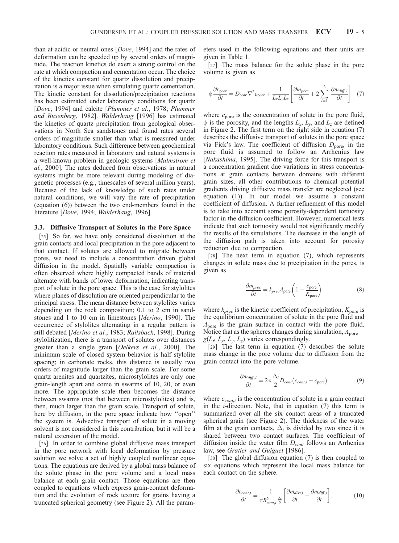than at acidic or neutral ones [Dove, 1994] and the rates of deformation can be speeded up by several orders of magnitude. The reaction kinetics do exert a strong control on the rate at which compaction and cementation occur. The choice of the kinetics constant for quartz dissolution and precipitation is a major issue when simulating quartz cementation. The kinetic constant for dissolution/precipitation reactions has been estimated under laboratory conditions for quartz [Dove, 1994] and calcite [Plummer et al., 1978; Plummer and Busenberg, 1982]. Walderhaug [1996] has estimated the kinetics of quartz precipitation from geological observations in North Sea sandstones and found rates several orders of magnitude smaller than what is measured under laboratory conditions. Such difference between geochemical reaction rates measured in laboratory and natural systems is a well-known problem in geologic systems [Malmstrom et al., 2000]. The rates deduced from observations in natural systems might be more relevant during modeling of diagenetic processes (e.g., timescales of several million years). Because of the lack of knowledge of such rates under natural conditions, we will vary the rate of precipitation (equation (6)) between the two end-members found in the literature [Dove, 1994; Walderhaug, 1996].

#### 3.3. Diffusive Transport of Solutes in the Pore Space

[25] So far, we have only considered dissolution at the grain contacts and local precipitation in the pore adjacent to that contact. If solutes are allowed to migrate between pores, we need to include a concentration driven global diffusion in the model. Spatially variable compaction is often observed where highly compacted bands of material alternate with bands of lower deformation, indicating transport of solute in the pore space. This is the case for stylolites where planes of dissolution are oriented perpendicular to the principal stress. The mean distance between stylolites varies depending on the rock composition; 0.1 to 2 cm in sandstones and 1 to 10 cm in limestones [Merino, 1990]. The occurrence of stylolites alternating in a regular pattern is still debated [Merino et al., 1983; Railsback, 1998]. During stylolitization, there is a transport of solutes over distances greater than a single grain [Oelkers et al., 2000]. The minimum scale of closed system behavior is half stylolite spacing; in carbonate rocks, this distance is usually two orders of magnitude larger than the grain scale. For some quartz arenites and quartzites, microstylolites are only one grain-length apart and come in swarms of 10, 20, or even more. The appropriate scale then becomes the distance between swarms (not that between microstylolites) and is, then, much larger than the grain scale. Transport of solute, here by diffusion, in the pore space indicate how ''open'' the system is. Advective transport of solute in a moving solvent is not considered in this contribution, but it will be a natural extension of the model.

[26] In order to combine global diffusive mass transport in the pore network with local deformation by pressure solution we solve a set of highly coupled nonlinear equations. The equations are derived by a global mass balance of the solute phase in the pore volume and a local mass balance at each grain contact. Those equations are then coupled to equations which express grain-contact deformation and the evolution of rock texture for grains having a truncated spherical geometry (see Figure 2). All the parameters used in the following equations and their units are given in Table 1.

[27] The mass balance for the solute phase in the pore volume is given as

$$
\phi \frac{\partial c_{\text{pore}}}{\partial t} = D_{\text{pore}} \nabla^2 c_{\text{pore}} + \frac{1}{L_x L_y L_z} \left[ \frac{\partial m_{\text{prec}}}{\partial t} + 2 \sum_{i=1}^3 \frac{\partial m_{\text{diff},i}}{\partial t} \right] \tag{7}
$$

where  $c_{\text{pore}}$  is the concentration of solute in the pore fluid,  $\phi$  is the porosity, and the lengths  $L_x$ ,  $L_y$ , and  $L_z$  are defined in Figure 2. The first term on the right side in equation (7) describes the diffusive transport of solutes in the pore space via Fick's law. The coefficient of diffusion  $D<sub>pore</sub>$ , in the pore fluid is assumed to follow an Arrhenius law [*Nakashima*, 1995]. The driving force for this transport is a concentration gradient due variations in stress concentrations at grain contacts between domains with different grain sizes, all other contributions to chemical potential gradients driving diffusive mass transfer are neglected (see equation (1)). In our model we assume a constant coefficient of diffusion. A further refinement of this model is to take into account some porosity-dependent tortuosity factor in the diffusion coefficient. However, numerical tests indicate that such tortuosity would not significantly modify the results of the simulations. The decrease in the length of the diffusion path is taken into account for porosity reduction due to compaction.

[28] The next term in equation (7), which represents changes in solute mass due to precipitation in the pores, is given as

$$
\frac{\partial m_{prec}}{\partial t} = k_{prec} A_{pore} \left( 1 - \frac{c_{pore}}{K_{pore}} \right)
$$
 (8)

where  $k_{prec}$  is the kinetic coefficient of precipitation,  $K_{pore}$  is the equilibrium concentration of solute in the pore fluid and  $A_{\text{pore}}$  is the grain surface in contact with the pore fluid. Notice that as the spheres changes during simulation,  $A_{\text{pore}} =$  $g(L_f, L_x, L_y, L_z)$  varies correspondingly.

[29] The last term in equation (7) describes the solute mass change in the pore volume due to diffusion from the grain contact into the pore volume.

$$
\frac{\partial m_{diff,i}}{\partial t} = 2\pi \frac{\Delta_i}{2} D_{cont} (c_{cont,i} - c_{pore})
$$
\n(9)

where  $c_{cont,i}$  is the concentration of solute in a grain contact in the  $i$ -direction. Note, that in equation  $(7)$  this term is summarized over all the six contact areas of a truncated spherical grain (see Figure 2). The thickness of the water film at the grain contacts,  $\Delta_i$  is divided by two since it is shared between two contact surfaces. The coefficient of diffusion inside the water film  $D_{cont}$  follows an Arrhenius law, see Gratier and Guiguet [1986].

[30] The global diffusion equation (7) is then coupled to six equations which represent the local mass balance for each contact on the sphere.

$$
\frac{\partial c_{cont,i}}{\partial t} = \frac{1}{\pi R_{cont,i}^2} \left[ \frac{\partial m_{diss,i}}{\partial t} - \frac{\partial m_{diff,i}}{\partial t} \right].
$$
 (10)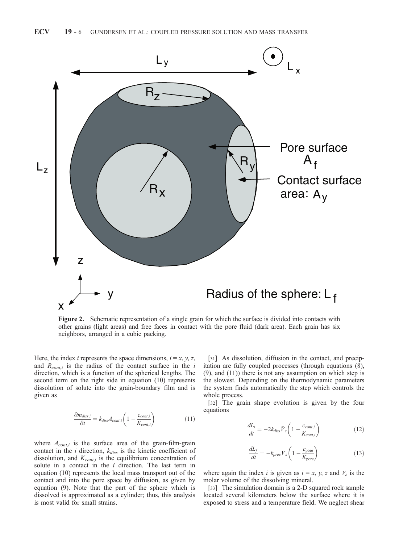

Figure 2. Schematic representation of a single grain for which the surface is divided into contacts with other grains (light areas) and free faces in contact with the pore fluid (dark area). Each grain has six neighbors, arranged in a cubic packing.

Here, the index *i* represents the space dimensions,  $i = x, y, z$ , and  $R_{cont,i}$  is the radius of the contact surface in the i direction, which is a function of the spherical lengths. The second term on the right side in equation (10) represents dissolution of solute into the grain-boundary film and is given as

$$
\frac{\partial m_{diss,i}}{\partial t} = k_{diss} A_{cont,i} \left( 1 - \frac{c_{cont,i}}{K_{cont,i}} \right) \tag{11}
$$

where  $A_{cont,i}$  is the surface area of the grain-film-grain contact in the  $i$  direction,  $k_{diss}$  is the kinetic coefficient of dissolution, and  $K_{cont,i}$  is the equilibrium concentration of solute in a contact in the  $i$  direction. The last term in equation (10) represents the local mass transport out of the contact and into the pore space by diffusion, as given by equation (9). Note that the part of the sphere which is dissolved is approximated as a cylinder; thus, this analysis is most valid for small strains.

[31] As dissolution, diffusion in the contact, and precipitation are fully coupled processes (through equations (8), (9), and (11)) there is not any assumption on which step is the slowest. Depending on the thermodynamic parameters the system finds automatically the step which controls the whole process.

[32] The grain shape evolution is given by the four equations

$$
\frac{dL_i}{dt} = -2k_{diss}\bar{V}_s \left(1 - \frac{c_{cont,i}}{K_{cont,i}}\right)
$$
\n(12)

$$
\frac{dL_f}{dt} = -k_{prec}\bar{V}_s \left(1 - \frac{c_{pore}}{K_{pore}}\right)
$$
\n(13)

where again the index *i* is given as  $i = x, y, z$  and  $\bar{V}_s$  is the molar volume of the dissolving mineral.

[33] The simulation domain is a 2-D squared rock sample located several kilometers below the surface where it is exposed to stress and a temperature field. We neglect shear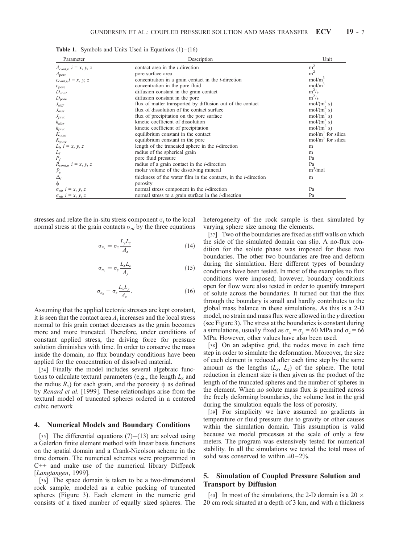| Parameter                                                              | Description                                                             | Unit                |
|------------------------------------------------------------------------|-------------------------------------------------------------------------|---------------------|
| $A_{cont,i}, i = x, y, z$                                              | contact area in the <i>i</i> -direction                                 | m <sup>2</sup>      |
| $A_{\text{pore}}$                                                      | pore surface area                                                       | m <sup>2</sup>      |
| $c_{cont,i}$ , $i = x, y, z$                                           | concentration in a grain contact in the <i>i</i> -direction             | mol/m <sup>3</sup>  |
| $c_{\text{pore}}$                                                      | concentration in the pore fluid                                         | mol/m <sup>3</sup>  |
| $D_{cont}$                                                             | diffusion constant in the grain contact                                 | $m^2/s$             |
| $D_{\text{pore}}$                                                      | diffusion constant in the pore                                          | $m^2/s$             |
| $J_{diff}$                                                             | flux of matter transported by diffusion out of the contact              | $mol/(m^2 s)$       |
| $J_{diss}$                                                             | flux of dissolution of the contact surface                              | $mol/(m^2 s)$       |
| $J_{prec}$                                                             | flux of precipitation on the pore surface                               | $mol/(m^2 s)$       |
| $\vec{k}_{diss}$                                                       | kinetic coefficient of dissolution                                      | $mol/(m^2 s)$       |
|                                                                        | kinetic coefficient of precipitation                                    | $mol/(m^2 s)$       |
| $k_{prec} \ K_{cont}$                                                  | equilibrium constant in the contact                                     | $mol/m3$ for silica |
| $K_{\text{pore}}$<br>$L_i$ , $i = x, y, z$                             | equilibrium constant in the pore                                        | $mol/m3$ for silica |
|                                                                        | length of the truncated sphere in the <i>i</i> -direction               | m                   |
|                                                                        | radius of the spherical grain                                           | m                   |
| $L_f \over P_f$                                                        | pore fluid pressure                                                     | Pa                  |
|                                                                        | radius of a grain contact in the <i>i</i> -direction                    | Pa                  |
| $\overline{R}_{cont,i}, i = x, y, z$<br>$\overline{V}_s$<br>$\Delta_i$ | molar volume of the dissolving mineral                                  | $m^3$ /mol          |
|                                                                        | thickness of the water film in the contacts, in the <i>i</i> -direction | m                   |
| $\phi$                                                                 | porosity                                                                |                     |
| $\sigma_{ni}$ , $i = x, y, z$                                          | normal stress component in the <i>i</i> -direction                      | Pa                  |
| $\sigma_{ni}$ , $i = x, y, z$                                          | normal stress to a grain surface in the <i>i</i> -direction             | Pa                  |

**Table 1.** Symbols and Units Used in Equations  $(1)$  –  $(16)$ 

stresses and relate the in-situ stress component  $\sigma_i$  to the local normal stress at the grain contacts  $\sigma_{ni}$  by the three equations

$$
\sigma_{n_x} = \sigma_x \frac{L_y L_z}{A_x} \tag{14}
$$

$$
\sigma_{n_y} = \sigma_y \frac{L_x L_z}{A_y} \tag{15}
$$

$$
\sigma_{n_z} = \sigma_z \frac{L_x L_y}{A_z}.
$$
\n(16)

Assuming that the applied tectonic stresses are kept constant, it is seen that the contact area  $A_i$  increases and the local stress normal to this grain contact decreases as the grain becomes more and more truncated. Therefore, under conditions of constant applied stress, the driving force for pressure solution diminishes with time. In order to conserve the mass inside the domain, no flux boundary conditions have been applied for the concentration of dissolved material.

[34] Finally the model includes several algebraic functions to calculate textural parameters (e.g., the length  $L_x$  and the radius  $R_x$ ) for each grain, and the porosity  $\phi$  as defined by Renard et al. [1999]. These relationships arise from the textural model of truncated spheres ordered in a centered cubic network

#### 4. Numerical Models and Boundary Conditions

[35] The differential equations  $(7)$ – $(13)$  are solved using a Galerkin finite element method with linear basis functions on the spatial domain and a Crank-Nicolson scheme in the time domain. The numerical schemes were programmed in C++ and make use of the numerical library Diffpack [Langtangen, 1999].

[36] The space domain is taken to be a two-dimensional rock sample, modeled as a cubic packing of truncated spheres (Figure 3). Each element in the numeric grid consists of a fixed number of equally sized spheres. The

heterogeneity of the rock sample is then simulated by varying sphere size among the elements.

[37] Two of the boundaries are fixed as stiff walls on which the side of the simulated domain can slip. A no-flux condition for the solute phase was imposed for these two boundaries. The other two boundaries are free and deform during the simulation. Here different types of boundary conditions have been tested. In most of the examples no flux conditions were imposed; however, boundary conditions open for flow were also tested in order to quantify transport of solute across the boundaries. It turned out that the flux through the boundary is small and hardly contributes to the global mass balance in these simulations. As this is a 2-D model, no strain and mass flux were allowed in the y direction (see Figure 3). The stress at the boundaries is constant during a simulations, usually fixed as  $\sigma_x = \sigma_y = 60$  MPa and  $\sigma_z = 66$ MPa. However, other values have also been used.

[38] On an adaptive grid, the nodes move in each time step in order to simulate the deformation. Moreover, the size of each element is reduced after each time step by the same amount as the lengths  $(L_x, L_z)$  of the sphere. The total reduction in element size is then given as the product of the length of the truncated spheres and the number of spheres in the element. When no solute mass flux is permitted across the freely deforming boundaries, the volume lost in the grid during the simulation equals the loss of porosity.

[39] For simplicity we have assumed no gradients in temperature or fluid pressure due to gravity or other causes within the simulation domain. This assumption is valid because we model processes at the scale of only a few meters. The program was extensively tested for numerical stability. In all the simulations we tested the total mass of solid was conserved to within  $\pm 0-2\%$ .

## 5. Simulation of Coupled Pressure Solution and Transport by Diffusion

[40] In most of the simulations, the 2-D domain is a 20  $\times$ 20 cm rock situated at a depth of 3 km, and with a thickness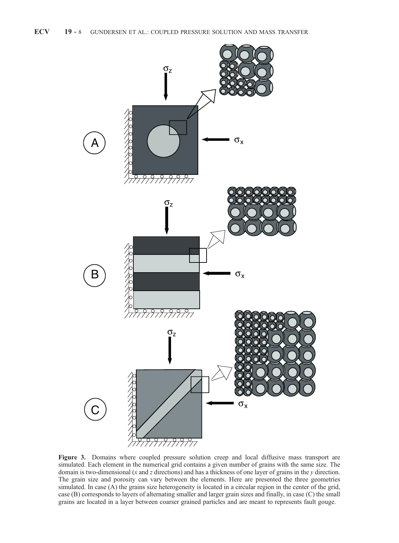

Figure 3. Domains where coupled pressure solution creep and local diffusive mass transport are simulated. Each element in the numerical grid contains a given number of grains with the same size. The domain is two-dimensional  $(x \text{ and } z \text{ directions})$  and has a thickness of one layer of grains in the y direction. The grain size and porosity can vary between the elements. Here are presented the three geometries simulated. In case (A) the grains size heterogeneity is located in a circular region in the center of the grid, case (B) corresponds to layers of alternating smaller and larger grain sizes and finally, in case (C) the small grains are located in a layer between coarser grained particles and are meant to represents fault gouge.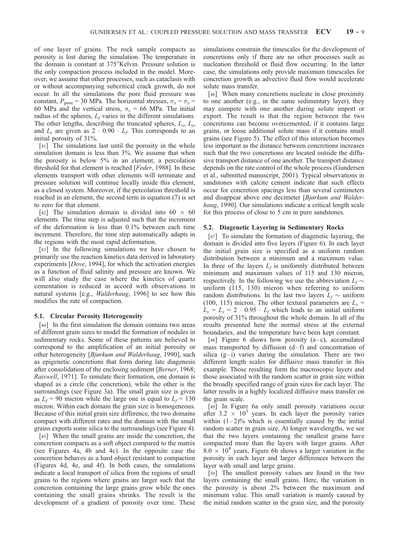of one layer of grains. The rock sample compacts as porosity is lost during the simulation. The temperature in the domain is constant at 375°Kelvin. Pressure solution is the only compaction process included in the model. Moreover, we assume that other processes, such as cataclasis with or without accompanying subcritical crack growth, do not occur. In all the simulations the pore fluid pressure was constant,  $P_{\text{pore}} = 30 \text{ MPa}$ . The horizontal stresses,  $\sigma_x = \sigma_y =$ 60 MPa and the vertical stress,  $\sigma_z = 66$  MPa. The initial radius of the spheres,  $L_f$  varies in the different simulations. The other lengths, describing the truncated spheres,  $L_x$ ,  $L_y$ and  $L_z$  are given as  $2 \cdot 0.90 \cdot L_f$ . This corresponds to an initial porosity of 31%.

[41] The simulations last until the porosity in the whole simulation domain is less than 3%. We assume that when the porosity is below 5% in an element, a percolation threshold for that element is reached [Feder, 1988]. In these elements transport with other elements will terminate and pressure solution will continue locally inside this element, as a closed system. Moreover, if the percolation threshold is reached in an element, the second term in equation (7) is set to zero for that element.

[42] The simulation domain is divided into  $60 \times 60$ elements. The time step is adjusted such that the increment of the deformation is less than 0.1% between each time increment. Therefore, the time step automatically adapts in the regions with the most rapid deformation.

[43] In the following simulations we have chosen to primarily use the reaction kinetics data derived in laboratory experiments [Dove, 1994], for which the activation energies as a function of fluid salinity and pressure are known. We will also study the case where the kinetics of quartz cementation is reduced in accord with observations in natural systems [e.g., Walderhaug, 1996] to see how this modifies the rate of compaction.

#### 5.1. Circular Porosity Heterogeneity

[44] In the first simulation the domain contains two areas of different grain sizes to model the formation of nodules in sedimentary rocks. Some of these patterns are believed to correspond to the amplification of an initial porosity or other heterogeneity [Bjørkum and Walderhaug, 1990], such as epigenetic concretions that form during late diagenesis after consolidation of the enclosing sediment [Berner, 1968; Raiswell, 1971]. To simulate their formation, one domain is shaped as a circle (the concretion), while the other is the surroundings (see Figure 3a). The small grain size is given as  $L_f$  = 90 micron while the large one is equal to  $L_f$  = 130 micron. Within each domain the grain size is homogeneous. Because of this initial grain size difference, the two domains compact with different rates and the domain with the small grains exports some silica to the surroundings (see Figure 4).

[45] When the small grains are inside the concretion, the concretion compacts as a soft object compared to the matrix (see Figures 4a, 4b and 4c). In the opposite case the concretion behaves as a hard object resistant to compaction (Figures 4d, 4e, and 4f). In both cases, the simulations indicate a local transport of silica from the regions of small grains to the regions where grains are larger such that the concretion containing the large grains grow while the ones containing the small grains shrinks. The result is the development of a gradient of porosity over time. These simulations constrain the timescales for the development of concretions only if there are no other processes such as nucleation threshold or fluid flow occurring. In the latter case, the simulations only provide maximum timescales for concretion growth as advective fluid flow would accelerate solute mass transfer.

[46] When many concretions nucleate in close proximity to one another (e.g., in the same sedimentary layer), they may compete with one another during solute import or export. The result is that the region between the two concretions can become overcemented, if it contains large grains, or loose additional solute mass if it contains small grains (see Figure 5). The effect of this interaction becomes less important as the distance between concretions increases such that the two concretions are located outside the diffusive transport distance of one another. The transport distance depends on the rate control of the whole process (Gundersen et al., submitted manuscript, 2001). Typical observations in sandstones with calcite cement indicate that such effects occur for concretion spacings less than several centimeters and disappear above one decimeter [Bjørkum and Walderhaug, 1990]. Our simulations indicate a critical length scale for this process of close to 5 cm in pure sandstones.

#### 5.2. Diagenetic Layering in Sedimentary Rocks

[47] To simulate the formation of diagenetic layering, the domain is divided into five layers (Figure 6). In each layer the initial grain size is specified as a uniform random distribution between a minimum and a maximum value. In three of the layers  $L_f$  is uniformly distributed between minimum and maximum values of 115 and 130 micron, respectively. In the following we use the abbreviation  $L_f \sim$ uniform (115, 130) micron when referring to uniform random distributions. In the last two layers  $L_f \sim$  uniform (100, 115) micron. The other textural parameters are  $L_x =$  $L_y = L_z = 2 \cdot 0.95 \cdot L_f$  which leads to an initial uniform porosity of 31% throughout the whole domain. In all of the results presented here the normal stress at the external boundaries, and the temperature have been kept constant.

[48] Figure 6 shows how porosity  $(a-c)$ , accumulated mass transported by diffusion  $(d-f)$  and concentration of silica  $(g-i)$  varies during the simulation. There are two different length scales for diffusive mass transfer in this example. Those resulting form the macroscopic layers and those associated with the random scatter in grain size within the broadly specified range of grain sizes for each layer. The latter results in a highly localized diffusive mass transfer on the grain scale.

[49] In Figure 6a only small porosity variations occur after 3.2  $\times$  10<sup>3</sup> years. In each layer the porosity varies within  $(1-2)\%$  which is essentially caused by the initial random scatter in grain size. At longer wavelengths, we see that the two layers containing the smallest grains have compacted more than the layers with larger grains. After  $8.0 \times 10^4$  years, Figure 6b shows a larger variation in the porosity in each layer and larger differences between the layer with small and large grains.

[50] The smallest porosity values are found in the two layers containing the small grains. Here, the variation in the porosity is about 2% between the maximum and minimum value. This small variation is mainly caused by the initial random scatter in the grain size, and the porosity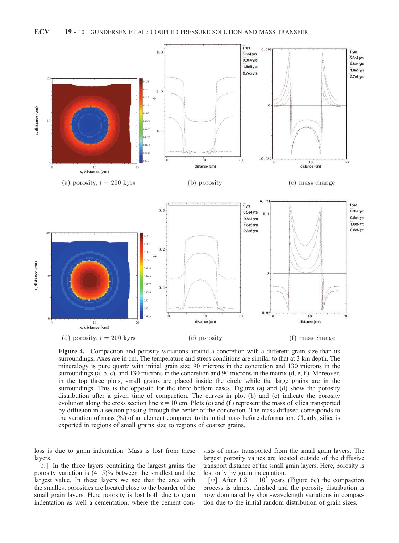

Figure 4. Compaction and porosity variations around a concretion with a different grain size than its surroundings. Axes are in cm. The temperature and stress conditions are similar to that at 3 km depth. The mineralogy is pure quartz with initial grain size 90 microns in the concretion and 130 microns in the surroundings (a, b, c), and 130 microns in the concretion and 90 microns in the matrix (d, e, f). Moreover, in the top three plots, small grains are placed inside the circle while the large grains are in the surroundings. This is the opposite for the three bottom cases. Figures (a) and (d) show the porosity distribution after a given time of compaction. The curves in plot (b) and (c) indicate the porosity evolution along the cross section line  $x = 10$  cm. Plots (c) and (f) represent the mass of silica transported by diffusion in a section passing through the center of the concretion. The mass diffused corresponds to the variation of mass (%) of an element compared to its initial mass before deformation. Clearly, silica is exported in regions of small grains size to regions of coarser grains.

loss is due to grain indentation. Mass is lost from these layers.

[51] In the three layers containing the largest grains the porosity variation is  $(4-5)$ % between the smallest and the largest value. In these layers we see that the area with the smallest porosities are located close to the boarder of the small grain layers. Here porosity is lost both due to grain indentation as well a cementation, where the cement con-

sists of mass transported from the small grain layers. The largest porosity values are located outside of the diffusive transport distance of the small grain layers. Here, porosity is lost only by grain indentation.

[52] After  $1.8 \times 10^5$  years (Figure 6c) the compaction process is almost finished and the porosity distribution is now dominated by short-wavelength variations in compaction due to the initial random distribution of grain sizes.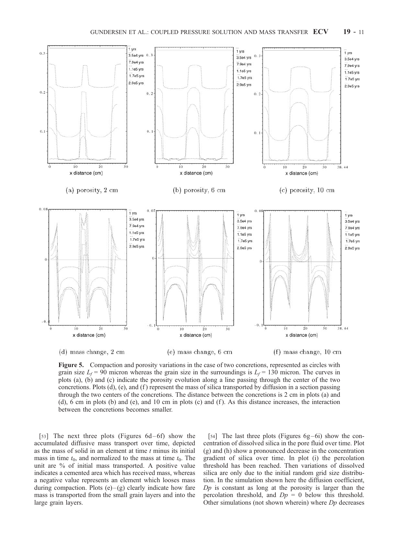

Figure 5. Compaction and porosity variations in the case of two concretions, represented as circles with grain size  $L_f$  = 90 micron whereas the grain size in the surroundings is  $L_f$  = 130 micron. The curves in plots (a), (b) and (c) indicate the porosity evolution along a line passing through the center of the two concretions. Plots  $(d)$ ,  $(e)$ , and  $(f)$  represent the mass of silica transported by diffusion in a section passing through the two centers of the concretions. The distance between the concretions is 2 cm in plots (a) and (d),  $6 \text{ cm}$  in plots (b) and (e), and 10 cm in plots (c) and (f). As this distance increases, the interaction between the concretions becomes smaller.

[53] The next three plots (Figures  $6d-6f$ ) show the accumulated diffusive mass transport over time, depicted as the mass of solid in an element at time  $t$  minus its initial mass in time  $t_0$ , and normalized to the mass at time  $t_0$ . The unit are % of initial mass transported. A positive value indicates a cemented area which has received mass, whereas a negative value represents an element which looses mass during compaction. Plots  $(e)$ – $(g)$  clearly indicate how fare mass is transported from the small grain layers and into the large grain layers.

[54] The last three plots (Figures  $6g-6i$ ) show the concentration of dissolved silica in the pore fluid over time. Plot (g) and (h) show a pronounced decrease in the concentration gradient of silica over time. In plot (i) the percolation threshold has been reached. Then variations of dissolved silica are only due to the initial random grid size distribution. In the simulation shown here the diffusion coefficient,  $Dp$  is constant as long at the porosity is larger than the percolation threshold, and  $Dp = 0$  below this threshold. Other simulations (not shown wherein) where  $D_p$  decreases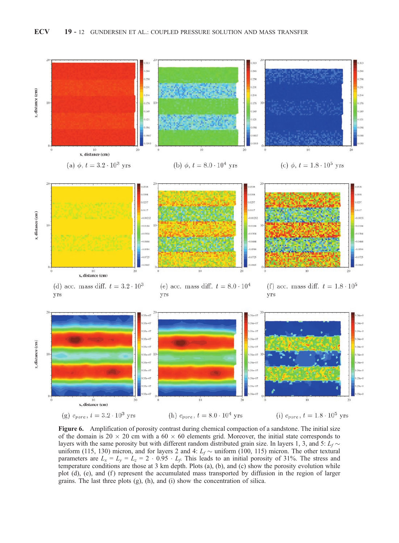

Figure 6. Amplification of porosity contrast during chemical compaction of a sandstone. The initial size of the domain is 20  $\times$  20 cm with a 60  $\times$  60 elements grid. Moreover, the initial state corresponds to layers with the same porosity but with different random distributed grain size. In layers 1, 3, and 5:  $L_f \sim$ uniform (115, 130) micron, and for layers 2 and 4:  $L_f \sim$  uniform (100, 115) micron. The other textural parameters are  $L_x = L_y = L_z = 2 \cdot 0.95 \cdot L_f$ . This leads to an initial porosity of 31%. The stress and temperature conditions are those at 3 km depth. Plots (a), (b), and (c) show the porosity evolution while plot (d), (e), and (f) represent the accumulated mass transported by diffusion in the region of larger grains. The last three plots (g), (h), and (i) show the concentration of silica.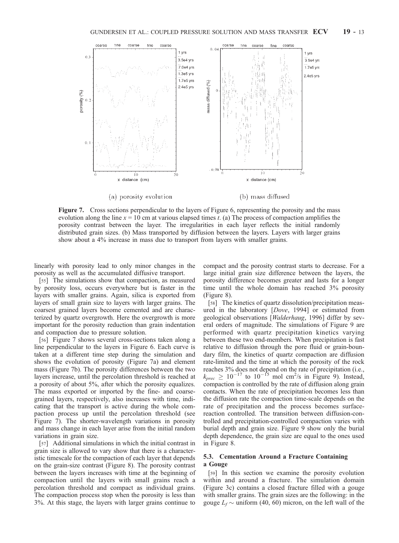

Figure 7. Cross sections perpendicular to the layers of Figure 6, representing the porosity and the mass evolution along the line  $x = 10$  cm at various elapsed times t. (a) The process of compaction amplifies the porosity contrast between the layer. The irregularities in each layer reflects the initial randomly distributed grain sizes. (b) Mass transported by diffusion between the layers. Layers with larger grains show about a 4% increase in mass due to transport from layers with smaller grains.

linearly with porosity lead to only minor changes in the porosity as well as the accumulated diffusive transport.

[55] The simulations show that compaction, as measured by porosity loss, occurs everywhere but is faster in the layers with smaller grains. Again, silica is exported from layers of small grain size to layers with larger grains. The coarsest grained layers become cemented and are characterized by quartz overgrowth. Here the overgrowth is more important for the porosity reduction than grain indentation and compaction due to pressure solution.

[56] Figure 7 shows several cross-sections taken along a line perpendicular to the layers in Figure 6. Each curve is taken at a different time step during the simulation and shows the evolution of porosity (Figure 7a) and element mass (Figure 7b). The porosity differences between the two layers increase, until the percolation threshold is reached at a porosity of about 5%, after which the porosity equalizes. The mass exported or imported by the fine- and coarsegrained layers, respectively, also increases with time, indicating that the transport is active during the whole compaction process up until the percolation threshold (see Figure 7). The shorter-wavelength variations in porosity and mass change in each layer arise from the initial random variations in grain size.

[57] Additional simulations in which the initial contrast in grain size is allowed to vary show that there is a characteristic timescale for the compaction of each layer that depends on the grain-size contrast (Figure 8). The porosity contrast between the layers increases with time at the beginning of compaction until the layers with small grains reach a percolation threshold and compact as individual grains. The compaction process stop when the porosity is less than 3%. At this stage, the layers with larger grains continue to

compact and the porosity contrast starts to decrease. For a large initial grain size difference between the layers, the porosity difference becomes greater and lasts for a longer time until the whole domain has reached 3% porosity (Figure 8).

[58] The kinetics of quartz dissolution/precipitation measured in the laboratory [Dove, 1994] or estimated from geological observations [Walderhaug, 1996] differ by several orders of magnitude. The simulations of Figure 9 are performed with quartz precipitation kinetics varying between these two end-members. When precipitation is fast relative to diffusion through the pore fluid or grain-boundary film, the kinetics of quartz compaction are diffusion rate-limited and the time at which the porosity of the rock reaches 3% does not depend on the rate of precipitation (i.e.,  $k_{prec} \geq 10^{-17}$  to  $10^{-15}$  mol cm<sup>2</sup>/s in Figure 9). Instead, compaction is controlled by the rate of diffusion along grain contacts. When the rate of precipitation becomes less than the diffusion rate the compaction time-scale depends on the rate of precipitation and the process becomes surfacereaction controlled. The transition between diffusion-controlled and precipitation-controlled compaction varies with burial depth and grain size. Figure 9 show only the burial depth dependence, the grain size are equal to the ones used in Figure 8.

#### 5.3. Cementation Around a Fracture Containing a Gouge

[59] In this section we examine the porosity evolution within and around a fracture. The simulation domain (Figure 3c) contains a closed fracture filled with a gouge with smaller grains. The grain sizes are the following: in the gouge  $L_f \sim$  uniform (40, 60) micron, on the left wall of the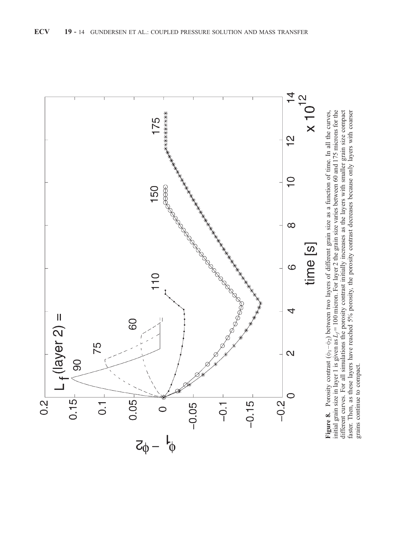

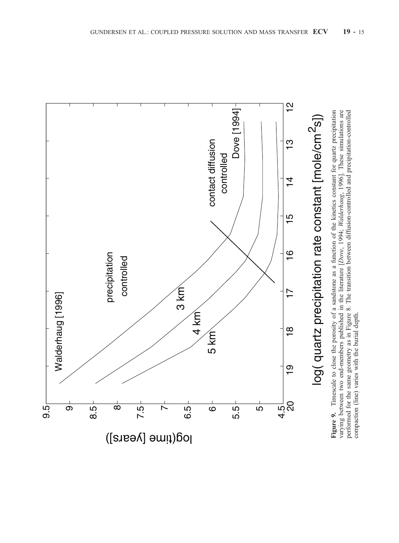

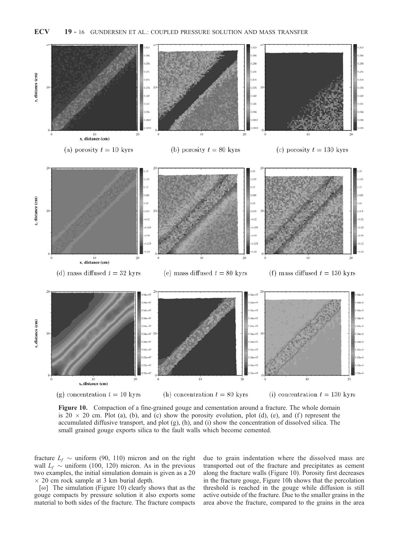

Figure 10. Compaction of a fine-grained gouge and cementation around a fracture. The whole domain is 20  $\times$  20 cm. Plot (a), (b), and (c) show the porosity evolution, plot (d), (e), and (f) represent the accumulated diffusive transport, and plot (g), (h), and (i) show the concentration of dissolved silica. The small grained gouge exports silica to the fault walls which become cemented.

fracture  $L_f \sim$  uniform (90, 110) micron and on the right wall  $L_f \sim$  uniform (100, 120) micron. As in the previous two examples, the initial simulation domain is given as a 20  $\times$  20 cm rock sample at 3 km burial depth.

[60] The simulation (Figure 10) clearly shows that as the gouge compacts by pressure solution it also exports some material to both sides of the fracture. The fracture compacts due to grain indentation where the dissolved mass are transported out of the fracture and precipitates as cement along the fracture walls (Figure 10). Porosity first decreases in the fracture gouge, Figure 10h shows that the percolation threshold is reached in the gouge while diffusion is still active outside of the fracture. Due to the smaller grains in the area above the fracture, compared to the grains in the area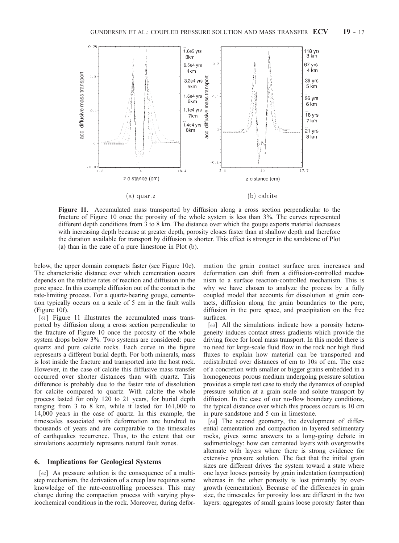

Figure 11. Accumulated mass transported by diffusion along a cross section perpendicular to the fracture of Figure 10 once the porosity of the whole system is less than 3%. The curves represented different depth conditions from 3 to 8 km. The distance over which the gouge exports material decreases with increasing depth because at greater depth, porosity closes faster than at shallow depth and therefore the duration available for transport by diffusion is shorter. This effect is stronger in the sandstone of Plot (a) than in the case of a pure limestone in Plot (b).

below, the upper domain compacts faster (see Figure 10c). The characteristic distance over which cementation occurs depends on the relative rates of reaction and diffusion in the pore space. In this example diffusion out of the contact is the rate-limiting process. For a quartz-bearing gouge, cementation typically occurs on a scale of 5 cm in the fault walls (Figure 10f).

[61] Figure 11 illustrates the accumulated mass transported by diffusion along a cross section perpendicular to the fracture of Figure 10 once the porosity of the whole system drops below 3%. Two systems are considered: pure quartz and pure calcite rocks. Each curve in the figure represents a different burial depth. For both minerals, mass is lost inside the fracture and transported into the host rock. However, in the case of calcite this diffusive mass transfer occurred over shorter distances than with quartz. This difference is probably due to the faster rate of dissolution for calcite compared to quartz. With calcite the whole process lasted for only 120 to 21 years, for burial depth ranging from 3 to 8 km, while it lasted for 161,000 to 14,000 years in the case of quartz. In this example, the timescales associated with deformation are hundred to thousands of years and are comparable to the timescales of earthquakes recurrence. Thus, to the extent that our simulations accurately represents natural fault zones.

### 6. Implications for Geological Systems

[62] As pressure solution is the consequence of a multistep mechanism, the derivation of a creep law requires some knowledge of the rate-controlling processes. This may change during the compaction process with varying physicochemical conditions in the rock. Moreover, during deformation the grain contact surface area increases and deformation can shift from a diffusion-controlled mechanism to a surface reaction-controlled mechanism. This is why we have chosen to analyze the process by a fully coupled model that accounts for dissolution at grain contacts, diffusion along the grain boundaries to the pore, diffusion in the pore space, and precipitation on the free surfaces.

[63] All the simulations indicate how a porosity heterogeneity induces contact stress gradients which provide the driving force for local mass transport. In this model there is no need for large-scale fluid flow in the rock nor high fluid fluxes to explain how material can be transported and redistributed over distances of cm to 10s of cm. The case of a concretion with smaller or bigger grains embedded in a homogeneous porous medium undergoing pressure solution provides a simple test case to study the dynamics of coupled pressure solution at a grain scale and solute transport by diffusion. In the case of our no-flow boundary conditions, the typical distance over which this process occurs is 10 cm in pure sandstone and 5 cm in limestone.

[64] The second geometry, the development of differential cementation and compaction in layered sedimentary rocks, gives some answers to a long-going debate in sedimentology: how can cemented layers with overgrowths alternate with layers where there is strong evidence for extensive pressure solution. The fact that the initial grain sizes are different drives the system toward a state where one layer looses porosity by grain indentation (compaction) whereas in the other porosity is lost primarily by overgrowth (cementation). Because of the differences in grain size, the timescales for porosity loss are different in the two layers: aggregates of small grains loose porosity faster than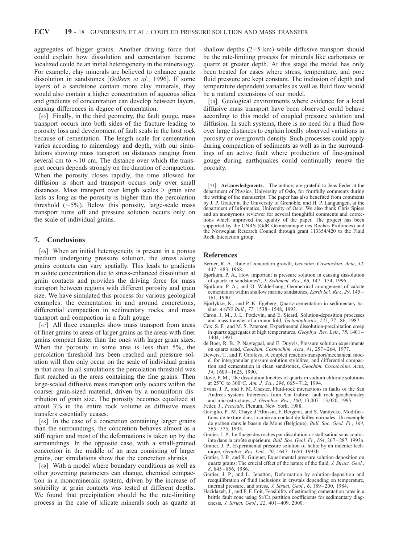aggregates of bigger grains. Another driving force that could explain how dissolution and cementation become localized could be an initial heterogeneity in the mineralogy. For example, clay minerals are believed to enhance quartz dissolution in sandstones [Oelkers et al., 1996]. If some layers of a sandstone contain more clay minerals, they would also contain a higher concentration of aqueous silica and gradients of concentration can develop between layers, causing differences in degree of cementation.

[65] Finally, in the third geometry, the fault gouge, mass transport occurs into both sides of the fracture leading to porosity loss and development of fault seals in the host rock because of cementation. The length scale for cementation varies according to mineralogy and depth, with our simulations showing mass transport on distances ranging from several cm to  $\sim$ 10 cm. The distance over which the transport occurs depends strongly on the duration of compaction. When the porosity closes rapidly, the time allowed for diffusion is short and transport occurs only over small distances. Mass transport over length scales > grain size lasts as long as the porosity is higher than the percolation threshold  $(\sim 5\%)$ . Below this porosity, large-scale mass transport turns off and pressure solution occurs only on the scale of individual grains.

### 7. Conclusions

[66] When an initial heterogeneity is present in a porous medium undergoing pressure solution, the stress along grains contacts can vary spatially. This leads to gradients in solute concentration due to stress-enhanced dissolution at grain contacts and provides the driving force for mass transport between regions with different porosity and grain size. We have simulated this process for various geological examples: the cementation in and around concretions, differential compaction in sedimentary rocks, and mass transport and compaction in a fault gouge.

[67] All three examples show mass transport from areas of finer grains to areas of larger grains as the areas with finer grains compact faster than the ones with larger grain sizes. When the porosity in some area is less than 5%, the percolation threshold has been reached and pressure solution will then only occur on the scale of individual grains in that area. In all simulations the percolation threshold was first reached in the areas containing the fine grains. Then large-scaled diffusive mass transport only occurs within the coarser grain-sized material, driven by a nonuniform distribution of grain size. The porosity becomes equalized at about 3% in the entire rock volume as diffusive mass transfers essentially ceases.

[68] In the case of a concretion containing larger grains than the surroundings, the concretion behaves almost as a stiff region and most of the deformations is taken up by the surroundings. In the opposite case, with a small-grained concretion in the middle of an area consisting of larger grains, our simulations show that the concretion shrinks.

[69] With a model where boundary conditions as well as other governing parameters can change, chemical compaction in a monomineralic system, driven by the increase of solubility at grain contacts was tested at different depths. We found that precipitation should be the rate-limiting process in the case of silicate minerals such as quartz at

shallow depths  $(2-5 \text{ km})$  while diffusive transport should be the rate-limiting process for minerals like carbonates or quartz at greater depth. At this stage the model has only been treated for cases where stress, temperature, and pore fluid pressure are kept constant. The inclusion of depth and temperature dependent variables as well as fluid flow would be a natural extensions of our model.

[70] Geological environments where evidence for a local diffusive mass transport have been observed could behave according to this model of coupled pressure solution and diffusion. In such systems, there is no need for a fluid flow over large distances to explain locally observed variations in porosity or overgrowth density. Such processes could apply during compaction of sediments as well as in the surroundings of an active fault where production of fine-grained gouge during earthquakes could continually renew the porosity.

[71] Acknowledgments. The authors are grateful to Jens Feder at the department of Physics, University of Oslo, for fruitfully comments during the writing of the manuscript. The paper has also benefited from comments by J. P. Gratier at the University of Grenoble, and H. P. Langtangen, at the department of Informatics, University of Oslo. We also thank Chris Spiers and an anonymous reviewer for several thoughtful comments and corrections which improved the quality of the paper. The project has been supported by the CNRS (GdR Géomécanique des Roches Profondes) and the Norwegian Research Council through grant 113354/420 to the Fluid Rock Interaction group.

#### References

- Berner, R. A., Rate of concretion growth, Geochim. Cosmochim. Acta, 32, 447 – 483, 1968.
- Bjørkum, P. A., How important is pressure solution in causing dissolution of quartz in sandstones?, J. Sediment. Res., 66, 147 – 154, 1996.
- Bjørkum, P. A., and O. Walderhaug, Geometrical arrangement of calcite cementation within shallow marine sandstones, Earth Sci. Rev., 29, 145-161, 1990.
- Bjørlykke, K., and P. K. Egeberg, Quartz cementation in sedimentary basins, AAPG Bull., 77, 1538-1548, 1993.
- Caron, J. M., J. L. Potdevin, and E. Sicard, Solution-deposition processes and mass transfer of a minor fold, Tectonophysics, 135, 77-86, 1987.
- Cox, S. F., and M. S. Paterson, Experimental dissolution-precipitation creep in quartz aggregates at high temperatures, Geophys. Res. Lett., 78, 1401 – 1404, 1991.
- de Boer, R. B., P. Nagtegaal, and E. Duyvis, Pressure solution experiments on quartz sand, Geochim. Cosmochim. Acta, 41, 257 – 264, 1977.
- Dewers, T., and P. Ortoleva, A coupled reaction/transport/mechanical model for intergranular pressure solution stylolites, and differential compaction and cementation in clean sandstones, Geochim. Cosmochim. Acta, 54, 1609 – 1625, 1990.
- Dove, P. M., The dissolution kinetics of quartz in sodium chloride solutions at  $25^{\circ}$ C to 300 $^{\circ}$ C, Am. J. Sci., 294, 665 – 712, 1994.
- Evans, J. P., and F. M. Chester, Fluid-rock interactions in faults of the San Andreas system: Inferences from San Gabriel fault rock geochemistry and microstructures, J. Geophys. Res., 100, 13,007 – 13,020, 1995.
- Feder, J., Fractals, Plenum, New York, 1988.
- Gaviglio, P., M. Chaye d'Albissin, F. Bergerat, and S. Vandycke, Modifications de texture dans la craie au contact de failles normales: Un exemple de graben dans le bassin de Mons (Belgique), Bull. Soc. Geol. Fr., 164, 565 – 575, 1993.
- Gratier, J. P., Le fluage des roches par dissolution-cristallisation sous contrainte dans la croûte supérieure, Bull. Soc. Geol. Fr., 164, 267-287, 1993a.
- Gratier, J. P., Experimental pressure solution of halite by an indenter technique, Geophys. Res. Lett., 20, 1647 – 1650, 1993b.
- Gratier, J. P., and R. Guiguet, Experimental pressure solution-deposition on quartz grains: The crucial effect of the nature of the fluid, J. Struct. Geol.,  $8, 845 - 856, 1986.$
- Gratier, J. P., and L. Jenatton, Deformation by solution-deposition and reequilibration of fluid inclusions in crystals depending on temperature, internal pressure, and stress, J. Struct. Geol., 6, 189-200, 1984.
- Hazidazeh, J., and F. F. Foit, Feasibility of estimating cementation rates in a brittle fault zone using Sr/Ca partition coefficients for sedimentary diagenesis, *J. Struct. Geol.*, 22, 401-409, 2000.